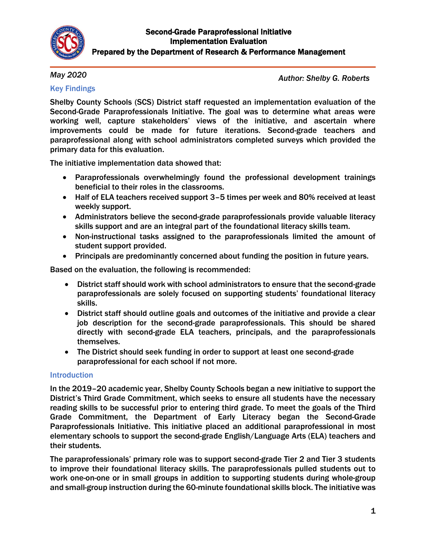

## *May 2020*

*Author: Shelby G. Roberts*

## Key Findings

Shelby County Schools (SCS) District staff requested an implementation evaluation of the Second-Grade Paraprofessionals Initiative. The goal was to determine what areas were working well, capture stakeholders' views of the initiative, and ascertain where improvements could be made for future iterations. Second-grade teachers and paraprofessional along with school administrators completed surveys which provided the primary data for this evaluation.

The initiative implementation data showed that:

- Paraprofessionals overwhelmingly found the professional development trainings beneficial to their roles in the classrooms.
- Half of ELA teachers received support 3–5 times per week and 80% received at least weekly support.
- Administrators believe the second-grade paraprofessionals provide valuable literacy skills support and are an integral part of the foundational literacy skills team.
- Non-instructional tasks assigned to the paraprofessionals limited the amount of student support provided.
- Principals are predominantly concerned about funding the position in future years.

Based on the evaluation, the following is recommended:

- District staff should work with school administrators to ensure that the second-grade paraprofessionals are solely focused on supporting students' foundational literacy skills.
- District staff should outline goals and outcomes of the initiative and provide a clear job description for the second-grade paraprofessionals. This should be shared directly with second-grade ELA teachers, principals, and the paraprofessionals themselves.
- The District should seek funding in order to support at least one second-grade paraprofessional for each school if not more.

## Introduction

In the 2019–20 academic year, Shelby County Schools began a new initiative to support the District's Third Grade Commitment, which seeks to ensure all students have the necessary reading skills to be successful prior to entering third grade. To meet the goals of the Third Grade Commitment, the Department of Early Literacy began the Second-Grade Paraprofessionals Initiative. This initiative placed an additional paraprofessional in most elementary schools to support the second-grade English/Language Arts (ELA) teachers and their students.

The paraprofessionals' primary role was to support second-grade Tier 2 and Tier 3 students to improve their foundational literacy skills. The paraprofessionals pulled students out to work one-on-one or in small groups in addition to supporting students during whole-group and small-group instruction during the 60-minute foundational skills block. The initiative was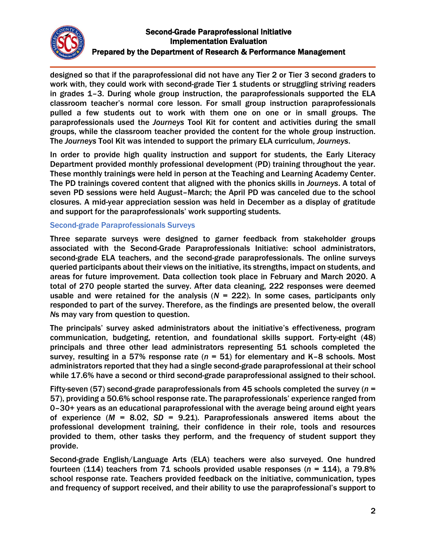

designed so that if the paraprofessional did not have any Tier 2 or Tier 3 second graders to work with, they could work with second-grade Tier 1 students or struggling striving readers in grades 1–3. During whole group instruction, the paraprofessionals supported the ELA classroom teacher's normal core lesson. For small group instruction paraprofessionals pulled a few students out to work with them one on one or in small groups. The paraprofessionals used the *Journeys* Tool Kit for content and activities during the small groups, while the classroom teacher provided the content for the whole group instruction. The *Journeys* Tool Kit was intended to support the primary ELA curriculum, *Journeys*.

In order to provide high quality instruction and support for students, the Early Literacy Department provided monthly professional development (PD) training throughout the year. These monthly trainings were held in person at the Teaching and Learning Academy Center. The PD trainings covered content that aligned with the phonics skills in *Journeys*. A total of seven PD sessions were held August–March; the April PD was canceled due to the school closures. A mid-year appreciation session was held in December as a display of gratitude and support for the paraprofessionals' work supporting students.

## Second-grade Paraprofessionals Surveys

Three separate surveys were designed to garner feedback from stakeholder groups associated with the Second-Grade Paraprofessionals Initiative: school administrators, second-grade ELA teachers, and the second-grade paraprofessionals. The online surveys queried participants about their views on the initiative, its strengths, impact on students, and areas for future improvement. Data collection took place in February and March 2020. A total of 270 people started the survey. After data cleaning, 222 responses were deemed usable and were retained for the analysis  $(N = 222)$ . In some cases, participants only responded to part of the survey. Therefore, as the findings are presented below, the overall *N*s may vary from question to question.

The principals' survey asked administrators about the initiative's effectiveness, program communication, budgeting, retention, and foundational skills support. Forty-eight (48) principals and three other lead administrators representing 51 schools completed the survey, resulting in a 57% response rate (*n* = 51) for elementary and K–8 schools. Most administrators reported that they had a single second-grade paraprofessional at their school while 17.6% have a second or third second-grade paraprofessional assigned to their school.

Fifty-seven (57) second-grade paraprofessionals from 45 schools completed the survey (*n* = 57), providing a 50.6% school response rate. The paraprofessionals' experience ranged from 0–30+ years as an educational paraprofessional with the average being around eight years of experience (*M* = 8.02, *SD* = 9.21). Paraprofessionals answered items about the professional development training, their confidence in their role, tools and resources provided to them, other tasks they perform, and the frequency of student support they provide.

Second-grade English/Language Arts (ELA) teachers were also surveyed. One hundred fourteen (114) teachers from 71 schools provided usable responses (*n* = 114), a 79.8% school response rate. Teachers provided feedback on the initiative, communication, types and frequency of support received, and their ability to use the paraprofessional's support to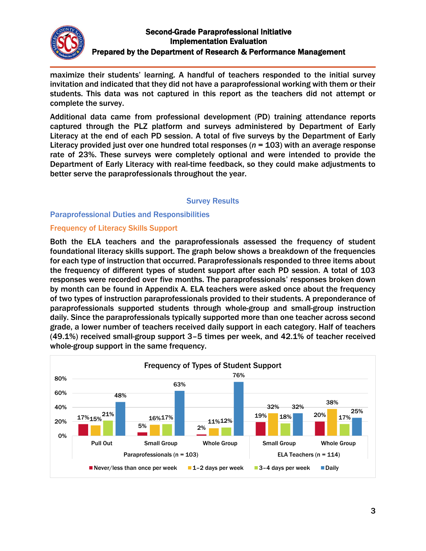

maximize their students' learning. A handful of teachers responded to the initial survey invitation and indicated that they did not have a paraprofessional working with them or their students. This data was not captured in this report as the teachers did not attempt or complete the survey.

Additional data came from professional development (PD) training attendance reports captured through the PLZ platform and surveys administered by Department of Early Literacy at the end of each PD session. A total of five surveys by the Department of Early Literacy provided just over one hundred total responses (*n* = 103) with an average response rate of 23%. These surveys were completely optional and were intended to provide the Department of Early Literacy with real-time feedback, so they could make adjustments to better serve the paraprofessionals throughout the year.

#### Survey Results

### Paraprofessional Duties and Responsibilities

### Frequency of Literacy Skills Support

Both the ELA teachers and the paraprofessionals assessed the frequency of student foundational literacy skills support. The graph below shows a breakdown of the frequencies for each type of instruction that occurred. Paraprofessionals responded to three items about the frequency of different types of student support after each PD session. A total of 103 responses were recorded over five months. The paraprofessionals' responses broken down by month can be found in Appendix A. ELA teachers were asked once about the frequency of two types of instruction paraprofessionals provided to their students. A preponderance of paraprofessionals supported students through whole-group and small-group instruction daily. Since the paraprofessionals typically supported more than one teacher across second grade, a lower number of teachers received daily support in each category. Half of teachers (49.1%) received small-group support 3–5 times per week, and 42.1% of teacher received whole-group support in the same frequency.

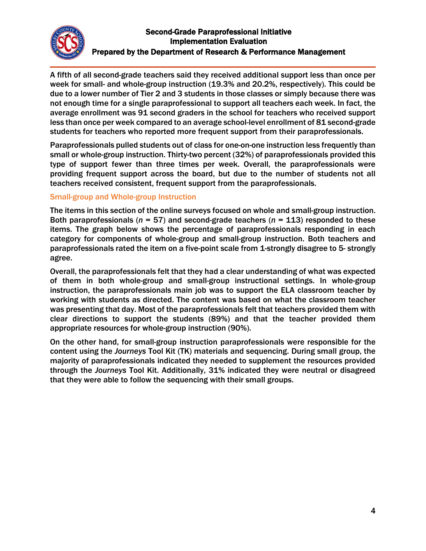

A fifth of all second-grade teachers said they received additional support less than once per week for small- and whole-group instruction (19.3% and 20.2%, respectively). This could be due to a lower number of Tier 2 and 3 students in those classes or simply because there was not enough time for a single paraprofessional to support all teachers each week. In fact, the average enrollment was 91 second graders in the school for teachers who received support less than once per week compared to an average school-level enrollment of 81 second-grade students for teachers who reported more frequent support from their paraprofessionals.

Paraprofessionals pulled students out of class for one-on-one instruction less frequently than small or whole-group instruction. Thirty-two percent (32%) of paraprofessionals provided this type of support fewer than three times per week. Overall, the paraprofessionals were providing frequent support across the board, but due to the number of students not all teachers received consistent, frequent support from the paraprofessionals.

## Small-group and Whole-group Instruction

The items in this section of the online surveys focused on whole and small-group instruction. Both paraprofessionals (*n* = 57) and second-grade teachers (*n* = 113) responded to these items. The graph below shows the percentage of paraprofessionals responding in each category for components of whole-group and small-group instruction. Both teachers and paraprofessionals rated the item on a five-point scale from 1-strongly disagree to 5- strongly agree.

Overall, the paraprofessionals felt that they had a clear understanding of what was expected of them in both whole-group and small-group instructional settings. In whole-group instruction, the paraprofessionals main job was to support the ELA classroom teacher by working with students as directed. The content was based on what the classroom teacher was presenting that day. Most of the paraprofessionals felt that teachers provided them with clear directions to support the students (89%) and that the teacher provided them appropriate resources for whole-group instruction (90%).

On the other hand, for small-group instruction paraprofessionals were responsible for the content using the *Journeys* Tool Kit (TK) materials and sequencing. During small group, the majority of paraprofessionals indicated they needed to supplement the resources provided through the *Journeys* Tool Kit. Additionally, 31% indicated they were neutral or disagreed that they were able to follow the sequencing with their small groups.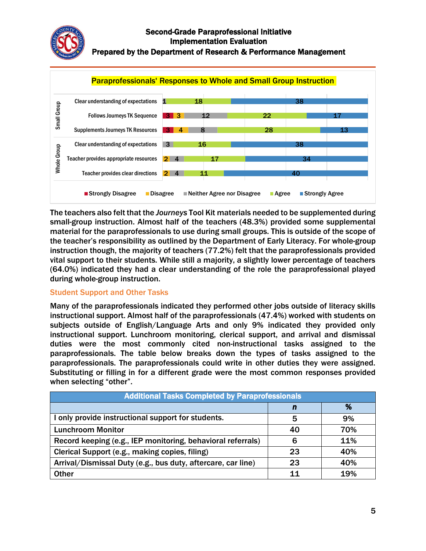



The teachers also felt that the *Journeys* Tool Kit materials needed to be supplemented during small-group instruction. Almost half of the teachers (48.3%) provided some supplemental material for the paraprofessionals to use during small groups. This is outside of the scope of the teacher's responsibility as outlined by the Department of Early Literacy. For whole-group instruction though, the majority of teachers (77.2%) felt that the paraprofessionals provided vital support to their students. While still a majority, a slightly lower percentage of teachers (64.0%) indicated they had a clear understanding of the role the paraprofessional played during whole-group instruction.

## Student Support and Other Tasks

Many of the paraprofessionals indicated they performed other jobs outside of literacy skills instructional support. Almost half of the paraprofessionals (47.4%) worked with students on subjects outside of English/Language Arts and only 9% indicated they provided only instructional support. Lunchroom monitoring, clerical support, and arrival and dismissal duties were the most commonly cited non-instructional tasks assigned to the paraprofessionals. The table below breaks down the types of tasks assigned to the paraprofessionals. The paraprofessionals could write in other duties they were assigned. Substituting or filling in for a different grade were the most common responses provided when selecting "other".

| <b>Additional Tasks Completed by Paraprofessionals</b>       |    |     |  |  |
|--------------------------------------------------------------|----|-----|--|--|
|                                                              | n  | %   |  |  |
| I only provide instructional support for students.           | 5  | 9%  |  |  |
| <b>Lunchroom Monitor</b>                                     | 40 | 70% |  |  |
| Record keeping (e.g., IEP monitoring, behavioral referrals)  | 6  | 11% |  |  |
| Clerical Support (e.g., making copies, filing)               | 23 | 40% |  |  |
| Arrival/Dismissal Duty (e.g., bus duty, aftercare, car line) | 23 | 40% |  |  |
| <b>Other</b>                                                 | 11 | 19% |  |  |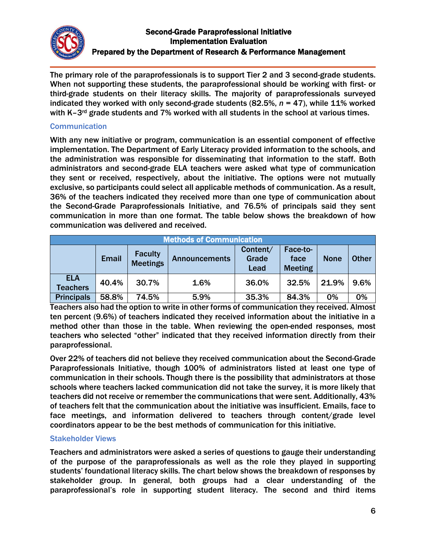

The primary role of the paraprofessionals is to support Tier 2 and 3 second-grade students. When not supporting these students, the paraprofessional should be working with first- or third-grade students on their literacy skills. The majority of paraprofessionals surveyed indicated they worked with only second-grade students (82.5%, *n* = 47), while 11% worked with K-3<sup>rd</sup> grade students and 7% worked with all students in the school at various times.

## **Communication**

With any new initiative or program, communication is an essential component of effective implementation. The Department of Early Literacy provided information to the schools, and the administration was responsible for disseminating that information to the staff. Both administrators and second-grade ELA teachers were asked what type of communication they sent or received, respectively, about the initiative. The options were not mutually exclusive, so participants could select all applicable methods of communication. As a result, 36% of the teachers indicated they received more than one type of communication about the Second-Grade Paraprofessionals Initiative, and 76.5% of principals said they sent communication in more than one format. The table below shows the breakdown of how communication was delivered and received.

|                               |              |                                   | <b>Methods of Communication</b> |                           |                                    |             |              |
|-------------------------------|--------------|-----------------------------------|---------------------------------|---------------------------|------------------------------------|-------------|--------------|
|                               | <b>Email</b> | <b>Faculty</b><br><b>Meetings</b> | <b>Announcements</b>            | Content/<br>Grade<br>Lead | Face-to-<br>face<br><b>Meeting</b> | <b>None</b> | <b>Other</b> |
| <b>ELA</b><br><b>Teachers</b> | 40.4%        | 30.7%                             | 1.6%                            | 36.0%                     | 32.5%                              | 21.9%       | 9.6%         |
| <b>Principals</b>             | 58.8%        | 74.5%                             | 5.9%                            | 35.3%                     | 84.3%                              | 0%          | 0%           |

Teachers also had the option to write in other forms of communication they received. Almost ten percent (9.6%) of teachers indicated they received information about the initiative in a method other than those in the table. When reviewing the open-ended responses, most teachers who selected "other" indicated that they received information directly from their paraprofessional.

Over 22% of teachers did not believe they received communication about the Second-Grade Paraprofessionals Initiative, though 100% of administrators listed at least one type of communication in their schools. Though there is the possibility that administrators at those schools where teachers lacked communication did not take the survey, it is more likely that teachers did not receive or remember the communications that were sent. Additionally, 43% of teachers felt that the communication about the initiative was insufficient. Emails, face to face meetings, and information delivered to teachers through content/grade level coordinators appear to be the best methods of communication for this initiative.

## Stakeholder Views

Teachers and administrators were asked a series of questions to gauge their understanding of the purpose of the paraprofessionals as well as the role they played in supporting students' foundational literacy skills. The chart below shows the breakdown of responses by stakeholder group. In general, both groups had a clear understanding of the paraprofessional's role in supporting student literacy. The second and third items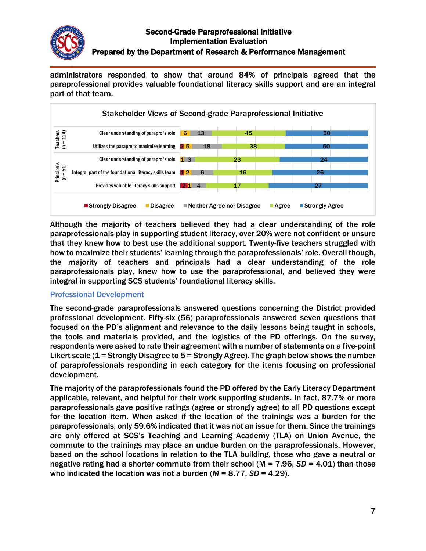

administrators responded to show that around 84% of principals agreed that the paraprofessional provides valuable foundational literacy skills support and are an integral part of that team.



Although the majority of teachers believed they had a clear understanding of the role paraprofessionals play in supporting student literacy, over 20% were not confident or unsure that they knew how to best use the additional support. Twenty-five teachers struggled with how to maximize their students' learning through the paraprofessionals' role. Overall though, the majority of teachers and principals had a clear understanding of the role paraprofessionals play, knew how to use the paraprofessional, and believed they were integral in supporting SCS students' foundational literacy skills.

## Professional Development

The second-grade paraprofessionals answered questions concerning the District provided professional development. Fifty-six (56) paraprofessionals answered seven questions that focused on the PD's alignment and relevance to the daily lessons being taught in schools, the tools and materials provided, and the logistics of the PD offerings. On the survey, respondents were asked to rate their agreement with a number of statements on a five-point Likert scale (1 = Strongly Disagree to 5 = Strongly Agree). The graph below shows the number of paraprofessionals responding in each category for the items focusing on professional development.

The majority of the paraprofessionals found the PD offered by the Early Literacy Department applicable, relevant, and helpful for their work supporting students. In fact, 87.7% or more paraprofessionals gave positive ratings (agree or strongly agree) to all PD questions except for the location item. When asked if the location of the trainings was a burden for the paraprofessionals, only 59.6% indicated that it was not an issue for them. Since the trainings are only offered at SCS's Teaching and Learning Academy (TLA) on Union Avenue, the commute to the trainings may place an undue burden on the paraprofessionals. However, based on the school locations in relation to the TLA building, those who gave a neutral or negative rating had a shorter commute from their school (M = 7.96, *SD* = 4.01) than those who indicated the location was not a burden  $(M = 8.77, SD = 4.29)$ .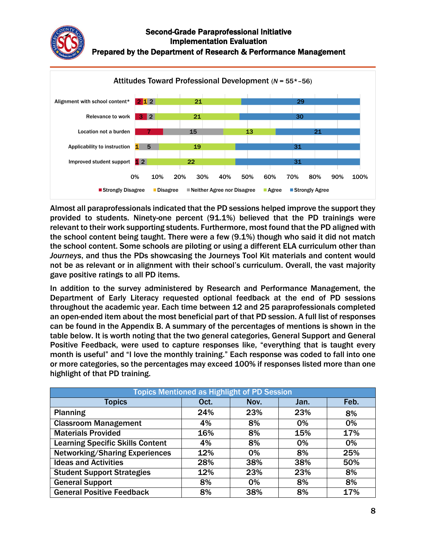



Almost all paraprofessionals indicated that the PD sessions helped improve the support they provided to students. Ninety-one percent (91.1%) believed that the PD trainings were relevant to their work supporting students. Furthermore, most found that the PD aligned with the school content being taught. There were a few (9.1%) though who said it did not match the school content. Some schools are piloting or using a different ELA curriculum other than *Journeys*, and thus the PDs showcasing the Journeys Tool Kit materials and content would not be as relevant or in alignment with their school's curriculum. Overall, the vast majority gave positive ratings to all PD items.

In addition to the survey administered by Research and Performance Management, the Department of Early Literacy requested optional feedback at the end of PD sessions throughout the academic year. Each time between 12 and 25 paraprofessionals completed an open-ended item about the most beneficial part of that PD session. A full list of responses can be found in the Appendix B. A summary of the percentages of mentions is shown in the table below. It is worth noting that the two general categories, General Support and General Positive Feedback, were used to capture responses like, "everything that is taught every month is useful" and "I love the monthly training." Each response was coded to fall into one or more categories, so the percentages may exceed 100% if responses listed more than one highlight of that PD training.

| <b>Topics Mentioned as Highlight of PD Session</b> |      |       |      |      |
|----------------------------------------------------|------|-------|------|------|
| <b>Topics</b>                                      | Oct. | Nov.  | Jan. | Feb. |
| <b>Planning</b>                                    | 24%  | 23%   | 23%  | 8%   |
| <b>Classroom Management</b>                        | 4%   | 8%    | 0%   | 0%   |
| <b>Materials Provided</b>                          | 16%  | 8%    | 15%  | 17%  |
| <b>Learning Specific Skills Content</b>            | 4%   | 8%    | 0%   | 0%   |
| <b>Networking/Sharing Experiences</b>              | 12%  | 0%    | 8%   | 25%  |
| <b>Ideas and Activities</b>                        | 28%  | 38%   | 38%  | 50%  |
| <b>Student Support Strategies</b>                  | 12%  | 23%   | 23%  | 8%   |
| <b>General Support</b>                             | 8%   | $0\%$ | 8%   | 8%   |
| <b>General Positive Feedback</b>                   | 8%   | 38%   | 8%   | 17%  |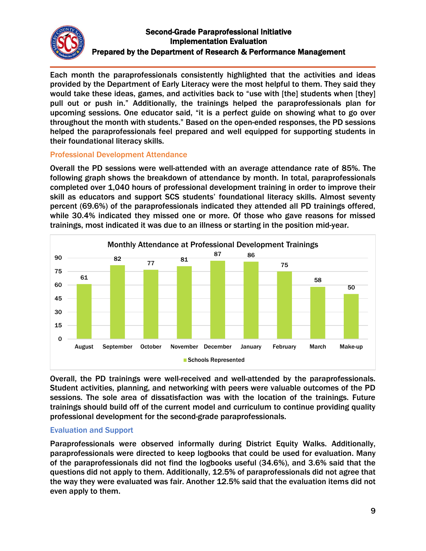

Each month the paraprofessionals consistently highlighted that the activities and ideas provided by the Department of Early Literacy were the most helpful to them. They said they would take these ideas, games, and activities back to "use with [the] students when [they] pull out or push in." Additionally, the trainings helped the paraprofessionals plan for upcoming sessions. One educator said, "it is a perfect guide on showing what to go over throughout the month with students." Based on the open-ended responses, the PD sessions helped the paraprofessionals feel prepared and well equipped for supporting students in their foundational literacy skills.

## Professional Development Attendance

Overall the PD sessions were well-attended with an average attendance rate of 85%. The following graph shows the breakdown of attendance by month. In total, paraprofessionals completed over 1,040 hours of professional development training in order to improve their skill as educators and support SCS students' foundational literacy skills. Almost seventy percent (69.6%) of the paraprofessionals indicated they attended all PD trainings offered, while 30.4% indicated they missed one or more. Of those who gave reasons for missed trainings, most indicated it was due to an illness or starting in the position mid-year.



Overall, the PD trainings were well-received and well-attended by the paraprofessionals. Student activities, planning, and networking with peers were valuable outcomes of the PD sessions. The sole area of dissatisfaction was with the location of the trainings. Future trainings should build off of the current model and curriculum to continue providing quality professional development for the second-grade paraprofessionals.

## Evaluation and Support

Paraprofessionals were observed informally during District Equity Walks. Additionally, paraprofessionals were directed to keep logbooks that could be used for evaluation. Many of the paraprofessionals did not find the logbooks useful (34.6%), and 3.6% said that the questions did not apply to them. Additionally, 12.5% of paraprofessionals did not agree that the way they were evaluated was fair. Another 12.5% said that the evaluation items did not even apply to them.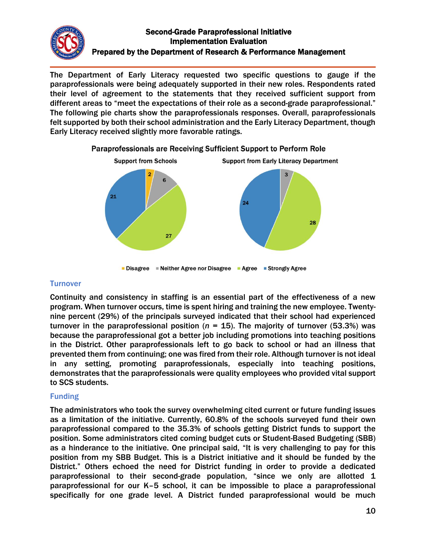

The Department of Early Literacy requested two specific questions to gauge if the paraprofessionals were being adequately supported in their new roles. Respondents rated their level of agreement to the statements that they received sufficient support from different areas to "meet the expectations of their role as a second-grade paraprofessional." The following pie charts show the paraprofessionals responses. Overall, paraprofessionals felt supported by both their school administration and the Early Literacy Department, though Early Literacy received slightly more favorable ratings.



Paraprofessionals are Receiving Sufficient Support to Perform Role

### **Turnover**

Continuity and consistency in staffing is an essential part of the effectiveness of a new program. When turnover occurs, time is spent hiring and training the new employee. Twentynine percent (29%) of the principals surveyed indicated that their school had experienced turnover in the paraprofessional position ( $n = 15$ ). The majority of turnover (53.3%) was because the paraprofessional got a better job including promotions into teaching positions in the District. Other paraprofessionals left to go back to school or had an illness that prevented them from continuing; one was fired from their role. Although turnover is not ideal in any setting, promoting paraprofessionals, especially into teaching positions, demonstrates that the paraprofessionals were quality employees who provided vital support to SCS students.

## Funding

The administrators who took the survey overwhelming cited current or future funding issues as a limitation of the initiative. Currently, 60.8% of the schools surveyed fund their own paraprofessional compared to the 35.3% of schools getting District funds to support the position. Some administrators cited coming budget cuts or Student-Based Budgeting (SBB) as a hinderance to the initiative. One principal said, "It is very challenging to pay for this position from my SBB Budget. This is a District initiative and it should be funded by the District." Others echoed the need for District funding in order to provide a dedicated paraprofessional to their second-grade population, "since we only are allotted 1 paraprofessional for our K–5 school, it can be impossible to place a paraprofessional specifically for one grade level. A District funded paraprofessional would be much

<sup>■</sup> Disagree ■ Neither Agree nor Disagree ■ Agree ■ Strongly Agree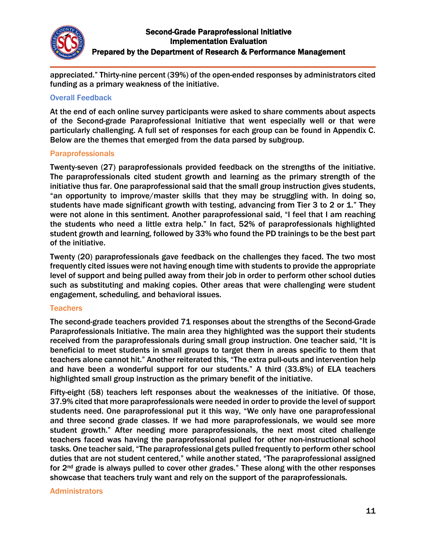

appreciated." Thirty-nine percent (39%) of the open-ended responses by administrators cited funding as a primary weakness of the initiative.

### Overall Feedback

At the end of each online survey participants were asked to share comments about aspects of the Second-grade Paraprofessional Initiative that went especially well or that were particularly challenging. A full set of responses for each group can be found in Appendix C. Below are the themes that emerged from the data parsed by subgroup.

#### **Paraprofessionals**

Twenty-seven (27) paraprofessionals provided feedback on the strengths of the initiative. The paraprofessionals cited student growth and learning as the primary strength of the initiative thus far. One paraprofessional said that the small group instruction gives students, "an opportunity to improve/master skills that they may be struggling with. In doing so, students have made significant growth with testing, advancing from Tier 3 to 2 or 1." They were not alone in this sentiment. Another paraprofessional said, "I feel that I am reaching the students who need a little extra help." In fact, 52% of paraprofessionals highlighted student growth and learning, followed by 33% who found the PD trainings to be the best part of the initiative.

Twenty (20) paraprofessionals gave feedback on the challenges they faced. The two most frequently cited issues were not having enough time with students to provide the appropriate level of support and being pulled away from their job in order to perform other school duties such as substituting and making copies. Other areas that were challenging were student engagement, scheduling, and behavioral issues.

### **Teachers**

The second-grade teachers provided 71 responses about the strengths of the Second-Grade Paraprofessionals Initiative. The main area they highlighted was the support their students received from the paraprofessionals during small group instruction. One teacher said, "It is beneficial to meet students in small groups to target them in areas specific to them that teachers alone cannot hit." Another reiterated this, "The extra pull-outs and intervention help and have been a wonderful support for our students." A third (33.8%) of ELA teachers highlighted small group instruction as the primary benefit of the initiative.

Fifty-eight (58) teachers left responses about the weaknesses of the initiative. Of those, 37.9% cited that more paraprofessionals were needed in order to provide the level of support students need. One paraprofessional put it this way, "We only have one paraprofessional and three second grade classes. If we had more paraprofessionals, we would see more student growth." After needing more paraprofessionals, the next most cited challenge teachers faced was having the paraprofessional pulled for other non-instructional school tasks. One teacher said, "The paraprofessional gets pulled frequently to perform other school duties that are not student centered," while another stated, "The paraprofessional assigned for  $2<sup>nd</sup>$  grade is always pulled to cover other grades." These along with the other responses showcase that teachers truly want and rely on the support of the paraprofessionals.

### **Administrators**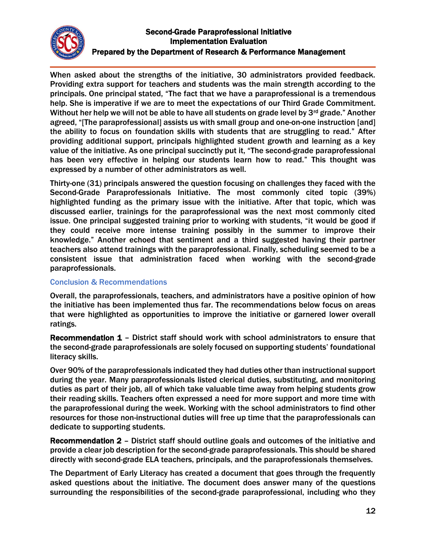

When asked about the strengths of the initiative, 30 administrators provided feedback. Providing extra support for teachers and students was the main strength according to the principals. One principal stated, "The fact that we have a paraprofessional is a tremendous help. She is imperative if we are to meet the expectations of our Third Grade Commitment. Without her help we will not be able to have all students on grade level by  $3<sup>rd</sup>$  grade." Another agreed, "[The paraprofessional] assists us with small group and one-on-one instruction [and] the ability to focus on foundation skills with students that are struggling to read." After providing additional support, principals highlighted student growth and learning as a key value of the initiative. As one principal succinctly put it, "The second-grade paraprofessional has been very effective in helping our students learn how to read." This thought was expressed by a number of other administrators as well.

Thirty-one (31) principals answered the question focusing on challenges they faced with the Second-Grade Paraprofessionals Initiative. The most commonly cited topic (39%) highlighted funding as the primary issue with the initiative. After that topic, which was discussed earlier, trainings for the paraprofessional was the next most commonly cited issue. One principal suggested training prior to working with students, "it would be good if they could receive more intense training possibly in the summer to improve their knowledge." Another echoed that sentiment and a third suggested having their partner teachers also attend trainings with the paraprofessional. Finally, scheduling seemed to be a consistent issue that administration faced when working with the second-grade paraprofessionals.

## Conclusion & Recommendations

Overall, the paraprofessionals, teachers, and administrators have a positive opinion of how the initiative has been implemented thus far. The recommendations below focus on areas that were highlighted as opportunities to improve the initiative or garnered lower overall ratings.

Recommendation 1 – District staff should work with school administrators to ensure that the second-grade paraprofessionals are solely focused on supporting students' foundational literacy skills.

Over 90% of the paraprofessionals indicated they had duties other than instructional support during the year. Many paraprofessionals listed clerical duties, substituting, and monitoring duties as part of their job, all of which take valuable time away from helping students grow their reading skills. Teachers often expressed a need for more support and more time with the paraprofessional during the week. Working with the school administrators to find other resources for those non-instructional duties will free up time that the paraprofessionals can dedicate to supporting students.

Recommendation 2 – District staff should outline goals and outcomes of the initiative and provide a clear job description for the second-grade paraprofessionals. This should be shared directly with second-grade ELA teachers, principals, and the paraprofessionals themselves.

The Department of Early Literacy has created a document that goes through the frequently asked questions about the initiative. The document does answer many of the questions surrounding the responsibilities of the second-grade paraprofessional, including who they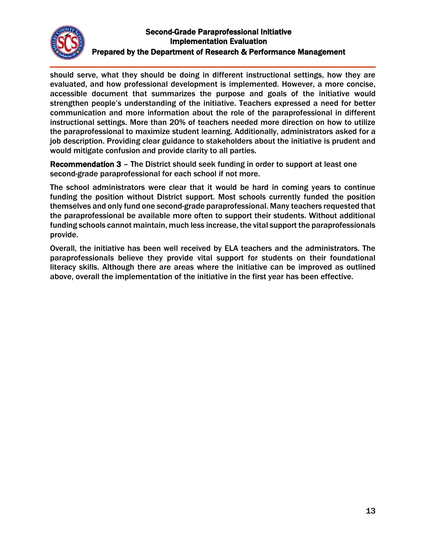

should serve, what they should be doing in different instructional settings, how they are evaluated, and how professional development is implemented. However, a more concise, accessible document that summarizes the purpose and goals of the initiative would strengthen people's understanding of the initiative. Teachers expressed a need for better communication and more information about the role of the paraprofessional in different instructional settings. More than 20% of teachers needed more direction on how to utilize the paraprofessional to maximize student learning. Additionally, administrators asked for a job description. Providing clear guidance to stakeholders about the initiative is prudent and would mitigate confusion and provide clarity to all parties.

Recommendation 3 – The District should seek funding in order to support at least one second-grade paraprofessional for each school if not more.

The school administrators were clear that it would be hard in coming years to continue funding the position without District support. Most schools currently funded the position themselves and only fund one second-grade paraprofessional. Many teachers requested that the paraprofessional be available more often to support their students. Without additional funding schools cannot maintain, much less increase, the vital support the paraprofessionals provide.

Overall, the initiative has been well received by ELA teachers and the administrators. The paraprofessionals believe they provide vital support for students on their foundational literacy skills. Although there are areas where the initiative can be improved as outlined above, overall the implementation of the initiative in the first year has been effective.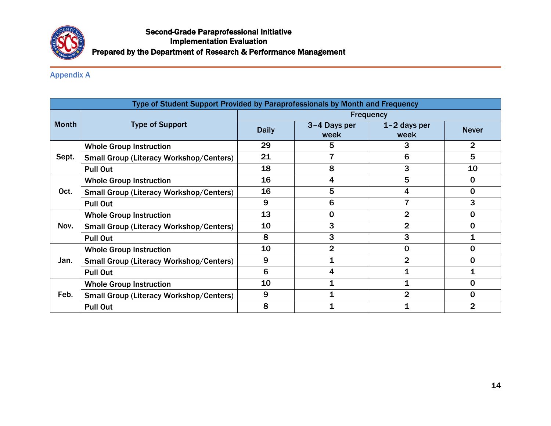

## Appendix A

| Type of Student Support Provided by Paraprofessionals by Month and Frequency |                                                |                  |                      |                      |                |
|------------------------------------------------------------------------------|------------------------------------------------|------------------|----------------------|----------------------|----------------|
|                                                                              |                                                | <b>Frequency</b> |                      |                      |                |
| <b>Month</b>                                                                 | <b>Type of Support</b>                         | <b>Daily</b>     | 3-4 Days per<br>week | 1-2 days per<br>week | <b>Never</b>   |
|                                                                              | <b>Whole Group Instruction</b>                 | 29               | 5                    | 3                    | 2              |
| Sept.                                                                        | <b>Small Group (Literacy Workshop/Centers)</b> | 21               |                      | 6                    | 5              |
|                                                                              | <b>Pull Out</b>                                | 18               | 8                    | 3                    | 10             |
|                                                                              | <b>Whole Group Instruction</b>                 | 16               | 4                    | 5                    | 0              |
| Oct.                                                                         | <b>Small Group (Literacy Workshop/Centers)</b> | 16               | 5                    | 4                    | 0              |
|                                                                              | <b>Pull Out</b>                                | 9                | 6                    |                      | 3              |
|                                                                              | <b>Whole Group Instruction</b>                 | 13               | 0                    | $\overline{2}$       | 0              |
| Nov.                                                                         | <b>Small Group (Literacy Workshop/Centers)</b> | 10               | 3                    | $\overline{2}$       | 0              |
|                                                                              | <b>Pull Out</b>                                | 8                | 3                    | 3                    |                |
|                                                                              | <b>Whole Group Instruction</b>                 | 10               | $\overline{2}$       | 0                    | 0              |
| Jan.                                                                         | <b>Small Group (Literacy Workshop/Centers)</b> | 9                | 1                    | $\overline{2}$       | $\mathbf 0$    |
|                                                                              | <b>Pull Out</b>                                | 6                | 4                    |                      |                |
|                                                                              | <b>Whole Group Instruction</b>                 | 10               | 1                    |                      | 0              |
| Feb.                                                                         | <b>Small Group (Literacy Workshop/Centers)</b> | 9                | 1                    | $\overline{2}$       | 0              |
|                                                                              | <b>Pull Out</b>                                | 8                | 1                    |                      | $\overline{2}$ |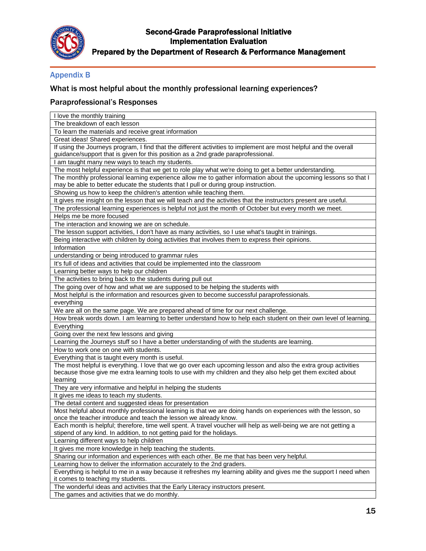

## Appendix B

## What is most helpful about the monthly professional learning experiences?

## Paraprofessional's Responses

| I love the monthly training                                                                                        |
|--------------------------------------------------------------------------------------------------------------------|
| The breakdown of each lesson                                                                                       |
| To learn the materials and receive great information                                                               |
| Great ideas! Shared experiences.                                                                                   |
| If using the Journeys program, I find that the different activities to implement are most helpful and the overall  |
| guidance/support that is given for this position as a 2nd grade paraprofessional.                                  |
| I am taught many new ways to teach my students.                                                                    |
| The most helpful experience is that we get to role play what we're doing to get a better understanding.            |
| The monthly professional learning experience allow me to gather information about the upcoming lessons so that I   |
| may be able to better educate the students that I pull or during group instruction.                                |
| Showing us how to keep the children's attention while teaching them.                                               |
| It gives me insight on the lesson that we will teach and the activities that the instructors present are useful.   |
| The professional learning experiences is helpful not just the month of October but every month we meet.            |
| Helps me be more focused                                                                                           |
| The interaction and knowing we are on schedule.                                                                    |
| The lesson support activities, I don't have as many activities, so I use what's taught in trainings.               |
| Being interactive with children by doing activities that involves them to express their opinions.                  |
| Information                                                                                                        |
| understanding or being introduced to grammar rules                                                                 |
| It's full of ideas and activities that could be implemented into the classroom                                     |
| Learning better ways to help our children                                                                          |
| The activities to bring back to the students during pull out                                                       |
| The going over of how and what we are supposed to be helping the students with                                     |
| Most helpful is the information and resources given to become successful paraprofessionals.                        |
| everything                                                                                                         |
| We are all on the same page. We are prepared ahead of time for our next challenge.                                 |
| How break words down. I am learning to better understand how to help each student on their own level of learning.  |
| Everything                                                                                                         |
| Going over the next few lessons and giving                                                                         |
| Learning the Journeys stuff so I have a better understanding of with the students are learning.                    |
| How to work one on one with students.                                                                              |
| Everything that is taught every month is useful.                                                                   |
| The most helpful is everything. I love that we go over each upcoming lesson and also the extra group activities    |
| because those give me extra learning tools to use with my children and they also help get them excited about       |
| learning                                                                                                           |
| They are very informative and helpful in helping the students                                                      |
| It gives me ideas to teach my students.                                                                            |
| The detail content and suggested ideas for presentation                                                            |
| Most helpful about monthly professional learning is that we are doing hands on experiences with the lesson, so     |
| once the teacher introduce and teach the lesson we already know.                                                   |
| Each month is helpful; therefore, time well spent. A travel voucher will help as well-being we are not getting a   |
| stipend of any kind. In addition, to not getting paid for the holidays.                                            |
| Learning different ways to help children                                                                           |
| It gives me more knowledge in help teaching the students.                                                          |
| Sharing our information and experiences with each other. Be me that has been very helpful.                         |
| Learning how to deliver the information accurately to the 2nd graders.                                             |
| Everything is helpful to me in a way because it refreshes my learning ability and gives me the support I need when |
| it comes to teaching my students.                                                                                  |
| The wonderful ideas and activities that the Early Literacy instructors present.                                    |
| The games and activities that we do monthly.                                                                       |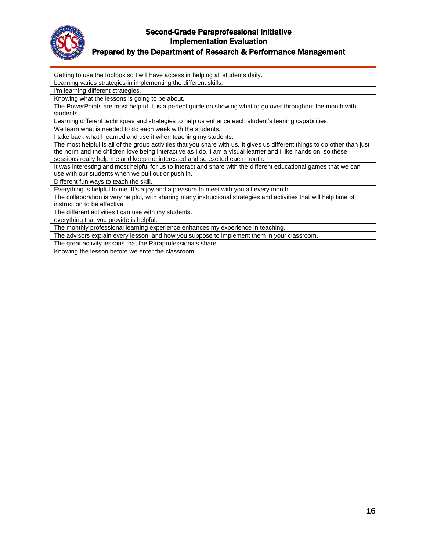

#### Prepared by the Department of Research & Performance Management

Getting to use the toolbox so I will have access in helping all students daily. Learning varies strategies in implementing the different skills. I'm learning different strategies. Knowing what the lessons is going to be about. The PowerPoints are most helpful. It is a perfect guide on showing what to go over throughout the month with students. Learning different techniques and strategies to help us enhance each student's leaning capabilities. We learn what is needed to do each week with the students. I take back what I learned and use it when teaching my students. The most helpful is all of the group activities that you share with us. It gives us different things to do other than just the norm and the children love being interactive as I do. I am a visual learner and I like hands on, so these sessions really help me and keep me interested and so excited each month. It was interesting and most helpful for us to interact and share with the different educational games that we can use with our students when we pull out or push in. Different fun ways to teach the skill. Everything is helpful to me. It's a joy and a pleasure to meet with you all every month. The collaboration is very helpful, with sharing many instructional strategies and activities that will help time of instruction to be effective. The different activities I can use with my students. everything that you provide is helpful. The monthly professional learning experience enhances my experience in teaching. The advisors explain every lesson, and how you suppose to implement them in your classroom. The great activity lessons that the Paraprofessionals share. Knowing the lesson before we enter the classroom.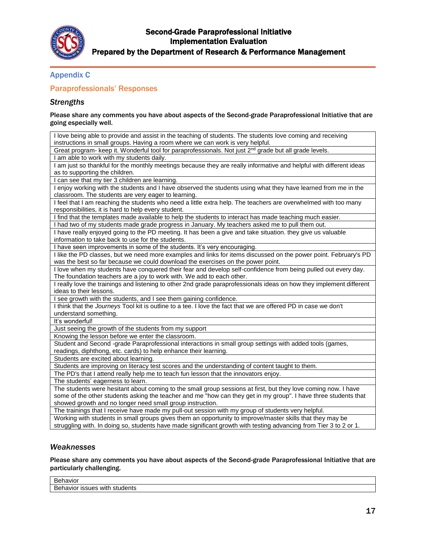

# Appendix C

## Paraprofessionals' Responses

### *Strengths*

Please share any comments you have about aspects of the Second-grade Paraprofessional Initiative that are going especially well.

| I love being able to provide and assist in the teaching of students. The students love coming and receiving          |
|----------------------------------------------------------------------------------------------------------------------|
| instructions in small groups. Having a room where we can work is very helpful.                                       |
| Great program- keep it. Wonderful tool for paraprofessionals. Not just 2 <sup>nd</sup> grade but all grade levels.   |
| I am able to work with my students daily.                                                                            |
| I am just so thankful for the monthly meetings because they are really informative and helpful with different ideas  |
| as to supporting the children.                                                                                       |
| I can see that my tier 3 children are learning.                                                                      |
| I enjoy working with the students and I have observed the students using what they have learned from me in the       |
| classroom. The students are very eager to learning.                                                                  |
| I feel that I am reaching the students who need a little extra help. The teachers are overwhelmed with too many      |
| responsibilities, it is hard to help every student.                                                                  |
| I find that the templates made available to help the students to interact has made teaching much easier.             |
| I had two of my students made grade progress in January. My teachers asked me to pull them out.                      |
| I have really enjoyed going to the PD meeting. It has been a give and take situation, they give us valuable          |
| information to take back to use for the students.                                                                    |
| I have seen improvements in some of the students. It's very encouraging.                                             |
| I like the PD classes, but we need more examples and links for items discussed on the power point. February's PD     |
| was the best so far because we could download the exercises on the power point.                                      |
| I love when my students have conquered their fear and develop self-confidence from being pulled out every day.       |
| The foundation teachers are a joy to work with. We add to each other.                                                |
| I really love the trainings and listening to other 2nd grade paraprofessionals ideas on how they implement different |
| ideas to their lessons.                                                                                              |
| I see growth with the students, and I see them gaining confidence.                                                   |
| I think that the Journeys Tool kit is outline to a tee. I love the fact that we are offered PD in case we don't      |
| understand something.                                                                                                |
| It's wonderful!                                                                                                      |
| Just seeing the growth of the students from my support                                                               |
| Knowing the lesson before we enter the classroom.                                                                    |
| Student and Second -grade Paraprofessional interactions in small group settings with added tools (games,             |
| readings, diphthong, etc. cards) to help enhance their learning.                                                     |
| Students are excited about learning.                                                                                 |
| Students are improving on literacy test scores and the understanding of content taught to them.                      |
| The PD's that I attend really help me to teach fun lesson that the innovators enjoy.                                 |
| The students' eagerness to learn.                                                                                    |
| The students were hesitant about coming to the small group sessions at first, but they love coming now. I have       |
| some of the other students asking the teacher and me "how can they get in my group". I have three students that      |
| showed growth and no longer need small group instruction.                                                            |
| The trainings that I receive have made my pull-out session with my group of students very helpful.                   |
| Working with students in small groups gives them an opportunity to improve/master skills that they may be            |
| struggling with. In doing so, students have made significant growth with testing advancing from Tier 3 to 2 or 1.    |

#### *Weaknesses*

Please share any comments you have about aspects of the Second-grade Paraprofessional Initiative that are particularly challenging.

| -<br>ινισι                                                 |  |
|------------------------------------------------------------|--|
| <u>n</u><br>™ideni.<br>$-1$<br>with<br>IOIVE<br>≍sueა<br>. |  |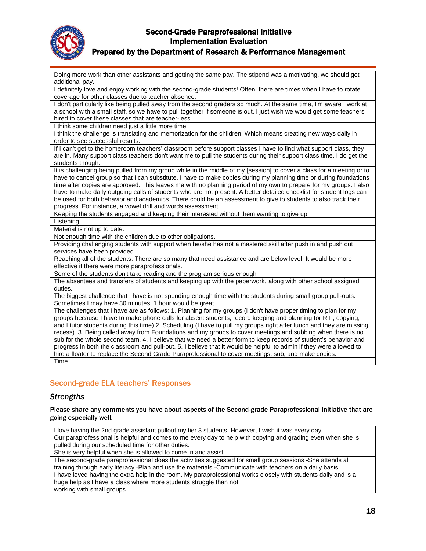

### Prepared by the Department of Research & Performance Management

Doing more work than other assistants and getting the same pay. The stipend was a motivating, we should get additional pay.

I definitely love and enjoy working with the second-grade students! Often, there are times when I have to rotate coverage for other classes due to teacher absence.

I don't particularly like being pulled away from the second graders so much. At the same time, I'm aware I work at a school with a small staff, so we have to pull together if someone is out. I just wish we would get some teachers hired to cover these classes that are teacher-less.

I think some children need just a little more time.

I think the challenge is translating and memorization for the children. Which means creating new ways daily in order to see successful results.

If I can't get to the homeroom teachers' classroom before support classes I have to find what support class, they are in. Many support class teachers don't want me to pull the students during their support class time. I do get the students though.

It is challenging being pulled from my group while in the middle of my [session] to cover a class for a meeting or to have to cancel group so that I can substitute. I have to make copies during my planning time or during foundations time after copies are approved. This leaves me with no planning period of my own to prepare for my groups. I also have to make daily outgoing calls of students who are not present. A better detailed checklist for student logs can be used for both behavior and academics. There could be an assessment to give to students to also track their progress. For instance, a vowel drill and words assessment.

Keeping the students engaged and keeping their interested without them wanting to give up.

Listening

Material is not up to date.

Not enough time with the children due to other obligations.

Providing challenging students with support when he/she has not a mastered skill after push in and push out services have been provided.

Reaching all of the students. There are so many that need assistance and are below level. It would be more effective if there were more paraprofessionals.

Some of the students don't take reading and the program serious enough

The absentees and transfers of students and keeping up with the paperwork, along with other school assigned duties.

The biggest challenge that I have is not spending enough time with the students during small group pull-outs. Sometimes I may have 30 minutes, 1 hour would be great.

The challenges that I have are as follows: 1. Planning for my groups (I don't have proper timing to plan for my groups because I have to make phone calls for absent students, record keeping and planning for RTI, copying, and I tutor students during this time) 2. Scheduling (I have to pull my groups right after lunch and they are missing recess). 3. Being called away from Foundations and my groups to cover meetings and subbing when there is no sub for the whole second team. 4. I believe that we need a better form to keep records of student's behavior and progress in both the classroom and pull-out. 5. I believe that it would be helpful to admin if they were allowed to hire a floater to replace the Second Grade Paraprofessional to cover meetings, sub, and make copies. Time

## Second-grade ELA teachers' Responses

#### *Strengths*

Please share any comments you have about aspects of the Second-grade Paraprofessional Initiative that are going especially well.

I love having the 2nd grade assistant pullout my tier 3 students. However, I wish it was every day. Our paraprofessional is helpful and comes to me every day to help with copying and grading even when she is pulled during our scheduled time for other duties. She is very helpful when she is allowed to come in and assist. The second-grade paraprofessional does the activities suggested for small group sessions -She attends all training through early literacy -Plan and use the materials -Communicate with teachers on a daily basis I have loved having the extra help in the room. My paraprofessional works closely with students daily and is a huge help as I have a class where more students struggle than not

working with small groups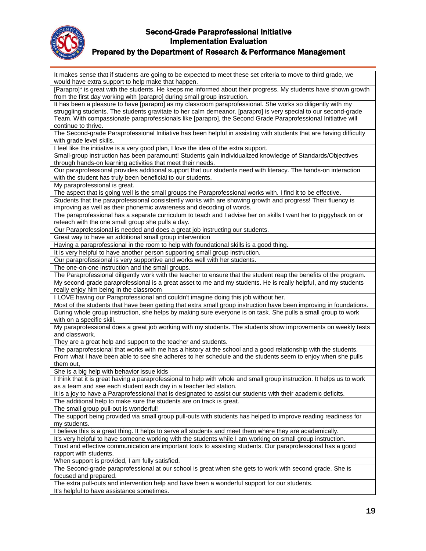

### Prepared by the Department of Research & Performance Management

It makes sense that if students are going to be expected to meet these set criteria to move to third grade, we would have extra support to help make that happen. [Parapro]\* is great with the students. He keeps me informed about their progress. My students have shown growth from the first day working with [parapro] during small group instruction. It has been a pleasure to have [parapro] as my classroom paraprofessional. She works so diligently with my struggling students. The students gravitate to her calm demeanor. [parapro] is very special to our second-grade Team. With compassionate paraprofessionals like [parapro], the Second Grade Paraprofessional Initiative will continue to thrive. The Second-grade Paraprofessional Initiative has been helpful in assisting with students that are having difficulty with grade level skills. I feel like the initiative is a very good plan, I love the idea of the extra support. Small-group instruction has been paramount! Students gain individualized knowledge of Standards/Objectives through hands-on learning activities that meet their needs. Our paraprofessional provides additional support that our students need with literacy. The hands-on interaction with the student has truly been beneficial to our students. My paraprofessional is great. The aspect that is going well is the small groups the Paraprofessional works with. I find it to be effective. Students that the paraprofessional consistently works with are showing growth and progress! Their fluency is improving as well as their phonemic awareness and decoding of words. The paraprofessional has a separate curriculum to teach and I advise her on skills I want her to piggyback on or reteach with the one small group she pulls a day. Our Paraprofessional is needed and does a great job instructing our students. Great way to have an additional small group intervention Having a paraprofessional in the room to help with foundational skills is a good thing. It is very helpful to have another person supporting small group instruction. Our paraprofessional is very supportive and works well with her students. The one-on-one instruction and the small groups. The Paraprofessional diligently work with the teacher to ensure that the student reap the benefits of the program. My second-grade paraprofessional is a great asset to me and my students. He is really helpful, and my students really enjoy him being in the classroom I LOVE having our Paraprofessional and couldn't imagine doing this job without her. Most of the students that have been getting that extra small group instruction have been improving in foundations. During whole group instruction, she helps by making sure everyone is on task. She pulls a small group to work with on a specific skill. My paraprofessional does a great job working with my students. The students show improvements on weekly tests and classwork. They are a great help and support to the teacher and students. The paraprofessional that works with me has a history at the school and a good relationship with the students. From what I have been able to see she adheres to her schedule and the students seem to enjoy when she pulls them out, She is a big help with behavior issue kids I think that it is great having a paraprofessional to help with whole and small group instruction. It helps us to work as a team and see each student each day in a teacher led station. It is a joy to have a Paraprofessional that is designated to assist our students with their academic deficits. The additional help to make sure the students are on track is great. The small group pull-out is wonderful! The support being provided via small group pull-outs with students has helped to improve reading readiness for my students. I believe this is a great thing. It helps to serve all students and meet them where they are academically. It's very helpful to have someone working with the students while I am working on small group instruction. Trust and effective communication are important tools to assisting students. Our paraprofessional has a good rapport with students. When support is provided, I am fully satisfied. The Second-grade paraprofessional at our school is great when she gets to work with second grade. She is focused and prepared. The extra pull-outs and intervention help and have been a wonderful support for our students. It's helpful to have assistance sometimes.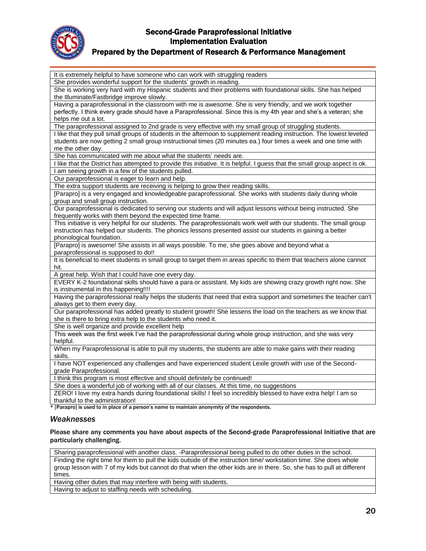

## Prepared by the Department of Research & Performance Management

| It is extremely helpful to have someone who can work with struggling readers                                                 |
|------------------------------------------------------------------------------------------------------------------------------|
| She provides wonderful support for the students' growth in reading.                                                          |
| She is working very hard with my Hispanic students and their problems with foundational skills. She has helped               |
| the Illuminate/Fastbridge improve slowly.                                                                                    |
| Having a paraprofessional in the classroom with me is awesome. She is very friendly, and we work together                    |
| perfectly. I think every grade should have a Paraprofessional. Since this is my 4th year and she's a veteran; she            |
| helps me out a lot.                                                                                                          |
| The paraprofessional assigned to 2nd grade is very effective with my small group of struggling students.                     |
| I like that they pull small groups of students in the afternoon to supplement reading instruction. The lowest leveled        |
| students are now getting 2 small group instructional times (20 minutes ea.) four times a week and one time with              |
| me the other day.                                                                                                            |
| She has communicated with me about what the students' needs are.                                                             |
| I like that the District has attempted to provide this initiative. It is helpful. I guess that the small group aspect is ok. |
| I am seeing growth in a few of the students pulled.                                                                          |
| Our paraprofessional is eager to learn and help.                                                                             |
| The extra support students are receiving is helping to grow their reading skills.                                            |
| [Parapro] is a very engaged and knowledgeable paraprofessional. She works with students daily during whole                   |
| group and small group instruction.                                                                                           |
| Our paraprofessional is dedicated to serving our students and will adjust lessons without being instructed. She              |
| frequently works with them beyond the expected time frame.                                                                   |
| This initiative is very helpful for our students. The paraprofessionals work well with our students. The small group         |
| instruction has helped our students. The phonics lessons presented assist our students in gaining a better                   |
| phonological foundation.                                                                                                     |
| [Parapro] is awesome! She assists in all ways possible. To me, she goes above and beyond what a                              |
| paraprofessional is supposed to do!!                                                                                         |
| It is beneficial to meet students in small group to target them in areas specific to them that teachers alone cannot         |
| hit.                                                                                                                         |
| A great help. Wish that I could have one every day.                                                                          |
| EVERY K-2 foundational skills should have a para or assistant. My kids are showing crazy growth right now. She               |
| is instrumental in this happening!!!!                                                                                        |
| Having the paraprofessional really helps the students that need that extra support and sometimes the teacher can't           |
| always get to them every day.                                                                                                |
| Our paraprofessional has added greatly to student growth! She lessens the load on the teachers as we know that               |
| she is there to bring extra help to the students who need it.                                                                |
| She is well organize and provide excellent help                                                                              |
| This week was the first week I've had the paraprofessional during whole group instruction, and she was very                  |
| helpful.                                                                                                                     |
| When my Paraprofessional is able to pull my students, the students are able to make gains with their reading                 |
| skills.                                                                                                                      |
| I have NOT experienced any challenges and have experienced student Lexile growth with use of the Second-                     |
| grade Paraprofessional.                                                                                                      |
| I think this program is most effective and should definitely be continued!                                                   |
| She does a wonderful job of working with all of our classes. At this time, no suggestions                                    |
| ZERO! I love my extra hands during foundational skills! I feel so incredibly blessed to have extra help! I am so             |
| thankful to the administration!                                                                                              |
| * [Parapro] is used to in place of a person's name to maintain anonymity of the respondents.                                 |
| Weaknesses                                                                                                                   |

Please share any comments you have about aspects of the Second-grade Paraprofessional Initiative that are particularly challenging.

Sharing paraprofessional with another class. -Paraprofessional being pulled to do other duties in the school. Finding the right time for them to pull the kids outside of the instruction time/ workstation time. She does whole group lesson with 7 of my kids but cannot do that when the other kids are in there. So, she has to pull at different times.

Having other duties that may interfere with being with students.

Having to adjust to staffing needs with scheduling.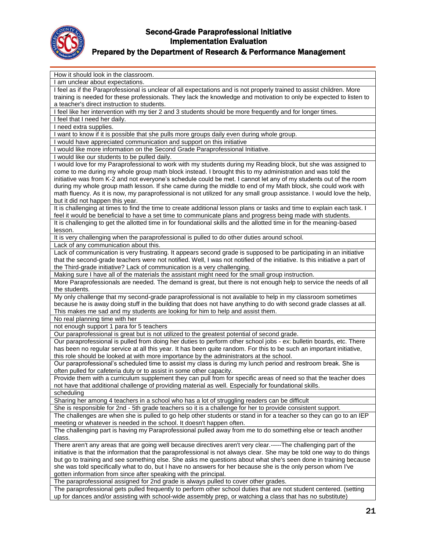

# Prepared by the Department of Research & Performance Management

| How it should look in the classroom.                                                                                                                                                                                                        |
|---------------------------------------------------------------------------------------------------------------------------------------------------------------------------------------------------------------------------------------------|
| I am unclear about expectations.                                                                                                                                                                                                            |
| I feel as if the Paraprofessional is unclear of all expectations and is not properly trained to assist children. More                                                                                                                       |
| training is needed for these professionals. They lack the knowledge and motivation to only be expected to listen to                                                                                                                         |
| a teacher's direct instruction to students.                                                                                                                                                                                                 |
| I feel like her intervention with my tier 2 and 3 students should be more frequently and for longer times.                                                                                                                                  |
| I feel that I need her daily.                                                                                                                                                                                                               |
| I need extra supplies.                                                                                                                                                                                                                      |
| want to know if it is possible that she pulls more groups daily even during whole group.                                                                                                                                                    |
| I would have appreciated communication and support on this initiative<br>I would like more information on the Second Grade Paraprofessional Initiative.                                                                                     |
| I would like our students to be pulled daily.                                                                                                                                                                                               |
| I would love for my Paraprofessional to work with my students during my Reading block, but she was assigned to                                                                                                                              |
| come to me during my whole group math block instead. I brought this to my administration and was told the                                                                                                                                   |
| initiative was from K-2 and not everyone's schedule could be met. I cannot let any of my students out of the room                                                                                                                           |
| during my whole group math lesson. If she came during the middle to end of my Math block, she could work with                                                                                                                               |
| math fluency. As it is now, my paraprofessional is not utilized for any small group assistance. I would love the help,                                                                                                                      |
| but it did not happen this year.                                                                                                                                                                                                            |
| It is challenging at times to find the time to create additional lesson plans or tasks and time to explain each task. I                                                                                                                     |
| feel it would be beneficial to have a set time to communicate plans and progress being made with students.                                                                                                                                  |
| It is challenging to get the allotted time in for foundational skills and the allotted time in for the meaning-based                                                                                                                        |
| lesson.                                                                                                                                                                                                                                     |
| It is very challenging when the paraprofessional is pulled to do other duties around school.                                                                                                                                                |
| Lack of any communication about this.                                                                                                                                                                                                       |
| Lack of communication is very frustrating. It appears second grade is supposed to be participating in an initiative                                                                                                                         |
| that the second-grade teachers were not notified. Well, I was not notified of the initiative. Is this initiative a part of                                                                                                                  |
| the Third-grade initiative? Lack of communication is a very challenging.                                                                                                                                                                    |
| Making sure I have all of the materials the assistant might need for the small group instruction.                                                                                                                                           |
| More Paraprofessionals are needed. The demand is great, but there is not enough help to service the needs of all                                                                                                                            |
| the students.                                                                                                                                                                                                                               |
| My only challenge that my second-grade paraprofessional is not available to help in my classroom sometimes                                                                                                                                  |
| because he is away doing stuff in the building that does not have anything to do with second grade classes at all.                                                                                                                          |
| This makes me sad and my students are looking for him to help and assist them.                                                                                                                                                              |
| No real planning time with her                                                                                                                                                                                                              |
| not enough support 1 para for 5 teachers                                                                                                                                                                                                    |
| Our paraprofessional is great but is not utilized to the greatest potential of second grade.                                                                                                                                                |
| Our paraprofessional is pulled from doing her duties to perform other school jobs - ex: bulletin boards, etc. There<br>has been no regular service at all this year. It has been quite random. For this to be such an important initiative, |
| this role should be looked at with more importance by the administrators at the school.                                                                                                                                                     |
| Our paraprofessional's scheduled time to assist my class is during my lunch period and restroom break. She is                                                                                                                               |
| often pulled for cafeteria duty or to assist in some other capacity.                                                                                                                                                                        |
| Provide them with a curriculum supplement they can pull from for specific areas of need so that the teacher does                                                                                                                            |
| not have that additional challenge of providing material as well. Especially for foundational skills.                                                                                                                                       |
| scheduling                                                                                                                                                                                                                                  |
| Sharing her among 4 teachers in a school who has a lot of struggling readers can be difficult                                                                                                                                               |
| She is responsible for 2nd - 5th grade teachers so it is a challenge for her to provide consistent support.                                                                                                                                 |
| The challenges are when she is pulled to go help other students or stand in for a teacher so they can go to an IEP                                                                                                                          |
| meeting or whatever is needed in the school. It doesn't happen often.                                                                                                                                                                       |
| The challenging part is having my Paraprofessional pulled away from me to do something else or teach another                                                                                                                                |
| class.                                                                                                                                                                                                                                      |
| There aren't any areas that are going well because directives aren't very clear.-----The challenging part of the                                                                                                                            |
| initiative is that the information that the paraprofessional is not always clear. She may be told one way to do things                                                                                                                      |
| but go to training and see something else. She asks me questions about what she's seen done in training because                                                                                                                             |
| she was told specifically what to do, but I have no answers for her because she is the only person whom I've                                                                                                                                |
| gotten information from since after speaking with the principal.                                                                                                                                                                            |
| The paraprofessional assigned for 2nd grade is always pulled to cover other grades.                                                                                                                                                         |
| The paraprofessional gets pulled frequently to perform other school duties that are not student centered. (setting                                                                                                                          |
| up for dances and/or assisting with school-wide assembly prep, or watching a class that has no substitute)                                                                                                                                  |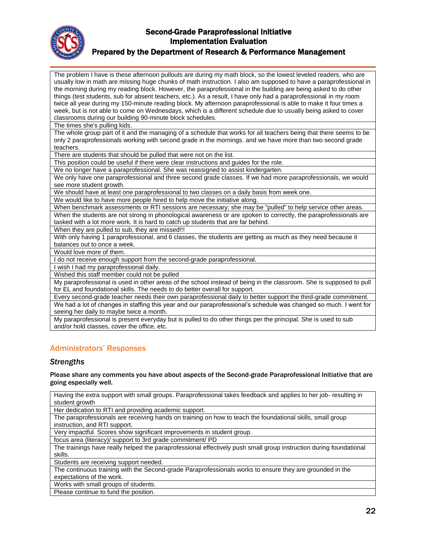

### Prepared by the Department of Research & Performance Management

The problem I have is these afternoon pullouts are during my math block, so the lowest leveled readers, who are usually low in math are missing huge chunks of math instruction. I also am supposed to have a paraprofessional in the morning during my reading block. However, the paraprofessional in the building are being asked to do other things (test students, sub for absent teachers, etc.). As a result, I have only had a paraprofessional in my room twice all year during my 150-minute reading block. My afternoon paraprofessional is able to make it four times a week, but is not able to come on Wednesdays, which is a different schedule due to usually being asked to cover classrooms during our building 90-minute block schedules.

The times she's pulling kids.

The whole group part of it and the managing of a schedule that works for all teachers being that there seems to be only 2 paraprofessionals working with second grade in the mornings. and we have more than two second grade teachers.

There are students that should be pulled that were not on the list.

This position could be useful if there were clear instructions and guides for the role.

We no longer have a paraprofessional. She was reassigned to assist kindergarten.

We only have one paraprofessional and three second grade classes. If we had more paraprofessionals, we would see more student growth.

We should have at least one paraprofessional to two classes on a daily basis from week one.

We would like to have more people hired to help move the initiative along.

When benchmark assessments or RTI sessions are necessary; she may be "pulled" to help service other areas. When the students are not strong in phonological awareness or are spoken to correctly, the paraprofessionals are tasked with a lot more work. It is hard to catch up students that are far behind.

When they are pulled to sub, they are missed!!!

With only having 1 paraprofessional, and 6 classes, the students are getting as much as they need because it balances out to once a week.

Would love more of them.

I do not receive enough support from the second-grade paraprofessional.

I wish I had my paraprofessional daily.

Wished this staff member could not be pulled

My paraprofessional is used in other areas of the school instead of being in the classroom. She is supposed to pull for EL and foundational skills. The needs to do better overall for support.

Every second-grade teacher needs their own paraprofessional daily to better support the third-grade commitment. We had a lot of changes in staffing this year and our paraprofessional's schedule was changed so much. I went for seeing her daily to maybe twice a month.

My paraprofessional is present everyday but is pulled to do other things per the principal. She is used to sub and/or hold classes, cover the office, etc.

## Administrators' Responses

#### *Strengths*

#### Please share any comments you have about aspects of the Second-grade Paraprofessional Initiative that are going especially well.

Having the extra support with small groups. Paraprofessional takes feedback and applies to her job- resulting in student growth

Her dedication to RTI and providing academic support.

The paraprofessionals are receiving hands on training on how to teach the foundational skills, small group instruction, and RTI support.

Very impactful. Scores show significant improvements in student group.

focus area (literacy)/ support to 3rd grade commitment/ PD

The trainings have really helped the paraprofessional effectively push small group instruction during foundational skills.

Students are receiving support needed.

The continuous training with the Second-grade Paraprofessionals works to ensure they are grounded in the expectations of the work.

Works with small groups of students.

Please continue to fund the position.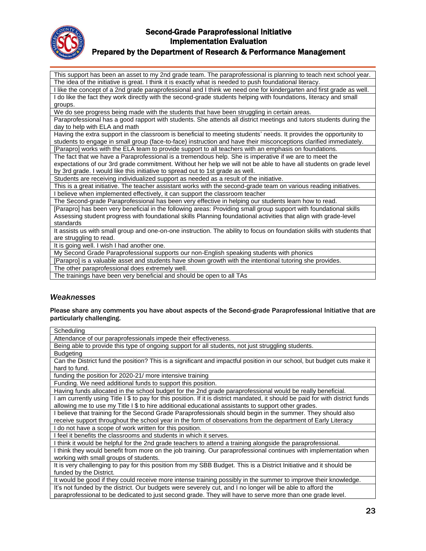

### Prepared by the Department of Research & Performance Management

This support has been an asset to my 2nd grade team. The paraprofessional is planning to teach next school year. The idea of the initiative is great. I think it is exactly what is needed to push foundational literacy.

I like the concept of a 2nd grade paraprofessional and I think we need one for kindergarten and first grade as well. I do like the fact they work directly with the second-grade students helping with foundations, literacy and small groups.

We do see progress being made with the students that have been struggling in certain areas.

Paraprofessional has a good rapport with students. She attends all district meetings and tutors students during the day to help with ELA and math

Having the extra support in the classroom is beneficial to meeting students' needs. It provides the opportunity to students to engage in small group (face-to-face) instruction and have their misconceptions clarified immediately. [Parapro] works with the ELA team to provide support to all teachers with an emphasis on foundations.

The fact that we have a Paraprofessional is a tremendous help. She is imperative if we are to meet the

expectations of our 3rd grade commitment. Without her help we will not be able to have all students on grade level by 3rd grade. I would like this initiative to spread out to 1st grade as well.

Students are receiving individualized support as needed as a result of the initiative.

This is a great initiative. The teacher assistant works with the second-grade team on various reading initiatives. I believe when implemented effectively, it can support the classroom teacher

The Second-grade Paraprofessional has been very effective in helping our students learn how to read.

[Parapro] has been very beneficial in the following areas: Providing small group support with foundational skills Assessing student progress with foundational skills Planning foundational activities that align with grade-level standards

It assists us with small group and one-on-one instruction. The ability to focus on foundation skills with students that are struggling to read.

It is going well. I wish I had another one.

My Second Grade Paraprofessional supports our non-English speaking students with phonics

[Parapro] is a valuable asset and students have shown growth with the intentional tutoring she provides.

The other paraprofessional does extremely well.

The trainings have been very beneficial and should be open to all TAs

#### *Weaknesses*

Please share any comments you have about aspects of the Second-grade Paraprofessional Initiative that are particularly challenging.

| Scheduling<br>Attendance of our paraprofessionals impede their effectiveness.<br>Being able to provide this type of ongoing support for all students, not just struggling students.<br><b>Budgeting</b><br>Can the District fund the position? This is a significant and impactful position in our school, but budget cuts make it<br>hard to fund.<br>funding the position for 2020-21/ more intensive training<br>Funding. We need additional funds to support this position.<br>Having funds allocated in the school budget for the 2nd grade paraprofessional would be really beneficial.<br>am currently using Title I \$ to pay for this position. If it is district mandated, it should be paid for with district funds<br>allowing me to use my Title I \$ to hire additional educational assistants to support other grades.<br>I believe that training for the Second Grade Paraprofessionals should begin in the summer. They should also<br>receive support throughout the school year in the form of observations from the department of Early Literacy<br>I do not have a scope of work written for this position.<br>I feel it benefits the classrooms and students in which it serves.<br>I think it would be helpful for the 2nd grade teachers to attend a training alongside the paraprofessional.<br>I think they would benefit from more on the job training. Our paraprofessional continues with implementation when<br>working with small groups of students.<br>It is very challenging to pay for this position from my SBB Budget. This is a District Initiative and it should be<br>funded by the District.<br>It would be good if they could receive more intense training possibly in the summer to improve their knowledge.<br>It's not funded by the district. Our budgets were severely cut, and I no longer will be able to afford the<br>paraprofessional to be dedicated to just second grade. They will have to serve more than one grade level. |  |
|-------------------------------------------------------------------------------------------------------------------------------------------------------------------------------------------------------------------------------------------------------------------------------------------------------------------------------------------------------------------------------------------------------------------------------------------------------------------------------------------------------------------------------------------------------------------------------------------------------------------------------------------------------------------------------------------------------------------------------------------------------------------------------------------------------------------------------------------------------------------------------------------------------------------------------------------------------------------------------------------------------------------------------------------------------------------------------------------------------------------------------------------------------------------------------------------------------------------------------------------------------------------------------------------------------------------------------------------------------------------------------------------------------------------------------------------------------------------------------------------------------------------------------------------------------------------------------------------------------------------------------------------------------------------------------------------------------------------------------------------------------------------------------------------------------------------------------------------------------------------------------------------------------------------------------------------------------------------------------------|--|
|                                                                                                                                                                                                                                                                                                                                                                                                                                                                                                                                                                                                                                                                                                                                                                                                                                                                                                                                                                                                                                                                                                                                                                                                                                                                                                                                                                                                                                                                                                                                                                                                                                                                                                                                                                                                                                                                                                                                                                                     |  |
|                                                                                                                                                                                                                                                                                                                                                                                                                                                                                                                                                                                                                                                                                                                                                                                                                                                                                                                                                                                                                                                                                                                                                                                                                                                                                                                                                                                                                                                                                                                                                                                                                                                                                                                                                                                                                                                                                                                                                                                     |  |
|                                                                                                                                                                                                                                                                                                                                                                                                                                                                                                                                                                                                                                                                                                                                                                                                                                                                                                                                                                                                                                                                                                                                                                                                                                                                                                                                                                                                                                                                                                                                                                                                                                                                                                                                                                                                                                                                                                                                                                                     |  |
|                                                                                                                                                                                                                                                                                                                                                                                                                                                                                                                                                                                                                                                                                                                                                                                                                                                                                                                                                                                                                                                                                                                                                                                                                                                                                                                                                                                                                                                                                                                                                                                                                                                                                                                                                                                                                                                                                                                                                                                     |  |
|                                                                                                                                                                                                                                                                                                                                                                                                                                                                                                                                                                                                                                                                                                                                                                                                                                                                                                                                                                                                                                                                                                                                                                                                                                                                                                                                                                                                                                                                                                                                                                                                                                                                                                                                                                                                                                                                                                                                                                                     |  |
|                                                                                                                                                                                                                                                                                                                                                                                                                                                                                                                                                                                                                                                                                                                                                                                                                                                                                                                                                                                                                                                                                                                                                                                                                                                                                                                                                                                                                                                                                                                                                                                                                                                                                                                                                                                                                                                                                                                                                                                     |  |
|                                                                                                                                                                                                                                                                                                                                                                                                                                                                                                                                                                                                                                                                                                                                                                                                                                                                                                                                                                                                                                                                                                                                                                                                                                                                                                                                                                                                                                                                                                                                                                                                                                                                                                                                                                                                                                                                                                                                                                                     |  |
|                                                                                                                                                                                                                                                                                                                                                                                                                                                                                                                                                                                                                                                                                                                                                                                                                                                                                                                                                                                                                                                                                                                                                                                                                                                                                                                                                                                                                                                                                                                                                                                                                                                                                                                                                                                                                                                                                                                                                                                     |  |
|                                                                                                                                                                                                                                                                                                                                                                                                                                                                                                                                                                                                                                                                                                                                                                                                                                                                                                                                                                                                                                                                                                                                                                                                                                                                                                                                                                                                                                                                                                                                                                                                                                                                                                                                                                                                                                                                                                                                                                                     |  |
|                                                                                                                                                                                                                                                                                                                                                                                                                                                                                                                                                                                                                                                                                                                                                                                                                                                                                                                                                                                                                                                                                                                                                                                                                                                                                                                                                                                                                                                                                                                                                                                                                                                                                                                                                                                                                                                                                                                                                                                     |  |
|                                                                                                                                                                                                                                                                                                                                                                                                                                                                                                                                                                                                                                                                                                                                                                                                                                                                                                                                                                                                                                                                                                                                                                                                                                                                                                                                                                                                                                                                                                                                                                                                                                                                                                                                                                                                                                                                                                                                                                                     |  |
|                                                                                                                                                                                                                                                                                                                                                                                                                                                                                                                                                                                                                                                                                                                                                                                                                                                                                                                                                                                                                                                                                                                                                                                                                                                                                                                                                                                                                                                                                                                                                                                                                                                                                                                                                                                                                                                                                                                                                                                     |  |
|                                                                                                                                                                                                                                                                                                                                                                                                                                                                                                                                                                                                                                                                                                                                                                                                                                                                                                                                                                                                                                                                                                                                                                                                                                                                                                                                                                                                                                                                                                                                                                                                                                                                                                                                                                                                                                                                                                                                                                                     |  |
|                                                                                                                                                                                                                                                                                                                                                                                                                                                                                                                                                                                                                                                                                                                                                                                                                                                                                                                                                                                                                                                                                                                                                                                                                                                                                                                                                                                                                                                                                                                                                                                                                                                                                                                                                                                                                                                                                                                                                                                     |  |
|                                                                                                                                                                                                                                                                                                                                                                                                                                                                                                                                                                                                                                                                                                                                                                                                                                                                                                                                                                                                                                                                                                                                                                                                                                                                                                                                                                                                                                                                                                                                                                                                                                                                                                                                                                                                                                                                                                                                                                                     |  |
|                                                                                                                                                                                                                                                                                                                                                                                                                                                                                                                                                                                                                                                                                                                                                                                                                                                                                                                                                                                                                                                                                                                                                                                                                                                                                                                                                                                                                                                                                                                                                                                                                                                                                                                                                                                                                                                                                                                                                                                     |  |
|                                                                                                                                                                                                                                                                                                                                                                                                                                                                                                                                                                                                                                                                                                                                                                                                                                                                                                                                                                                                                                                                                                                                                                                                                                                                                                                                                                                                                                                                                                                                                                                                                                                                                                                                                                                                                                                                                                                                                                                     |  |
|                                                                                                                                                                                                                                                                                                                                                                                                                                                                                                                                                                                                                                                                                                                                                                                                                                                                                                                                                                                                                                                                                                                                                                                                                                                                                                                                                                                                                                                                                                                                                                                                                                                                                                                                                                                                                                                                                                                                                                                     |  |
|                                                                                                                                                                                                                                                                                                                                                                                                                                                                                                                                                                                                                                                                                                                                                                                                                                                                                                                                                                                                                                                                                                                                                                                                                                                                                                                                                                                                                                                                                                                                                                                                                                                                                                                                                                                                                                                                                                                                                                                     |  |
|                                                                                                                                                                                                                                                                                                                                                                                                                                                                                                                                                                                                                                                                                                                                                                                                                                                                                                                                                                                                                                                                                                                                                                                                                                                                                                                                                                                                                                                                                                                                                                                                                                                                                                                                                                                                                                                                                                                                                                                     |  |
|                                                                                                                                                                                                                                                                                                                                                                                                                                                                                                                                                                                                                                                                                                                                                                                                                                                                                                                                                                                                                                                                                                                                                                                                                                                                                                                                                                                                                                                                                                                                                                                                                                                                                                                                                                                                                                                                                                                                                                                     |  |
|                                                                                                                                                                                                                                                                                                                                                                                                                                                                                                                                                                                                                                                                                                                                                                                                                                                                                                                                                                                                                                                                                                                                                                                                                                                                                                                                                                                                                                                                                                                                                                                                                                                                                                                                                                                                                                                                                                                                                                                     |  |